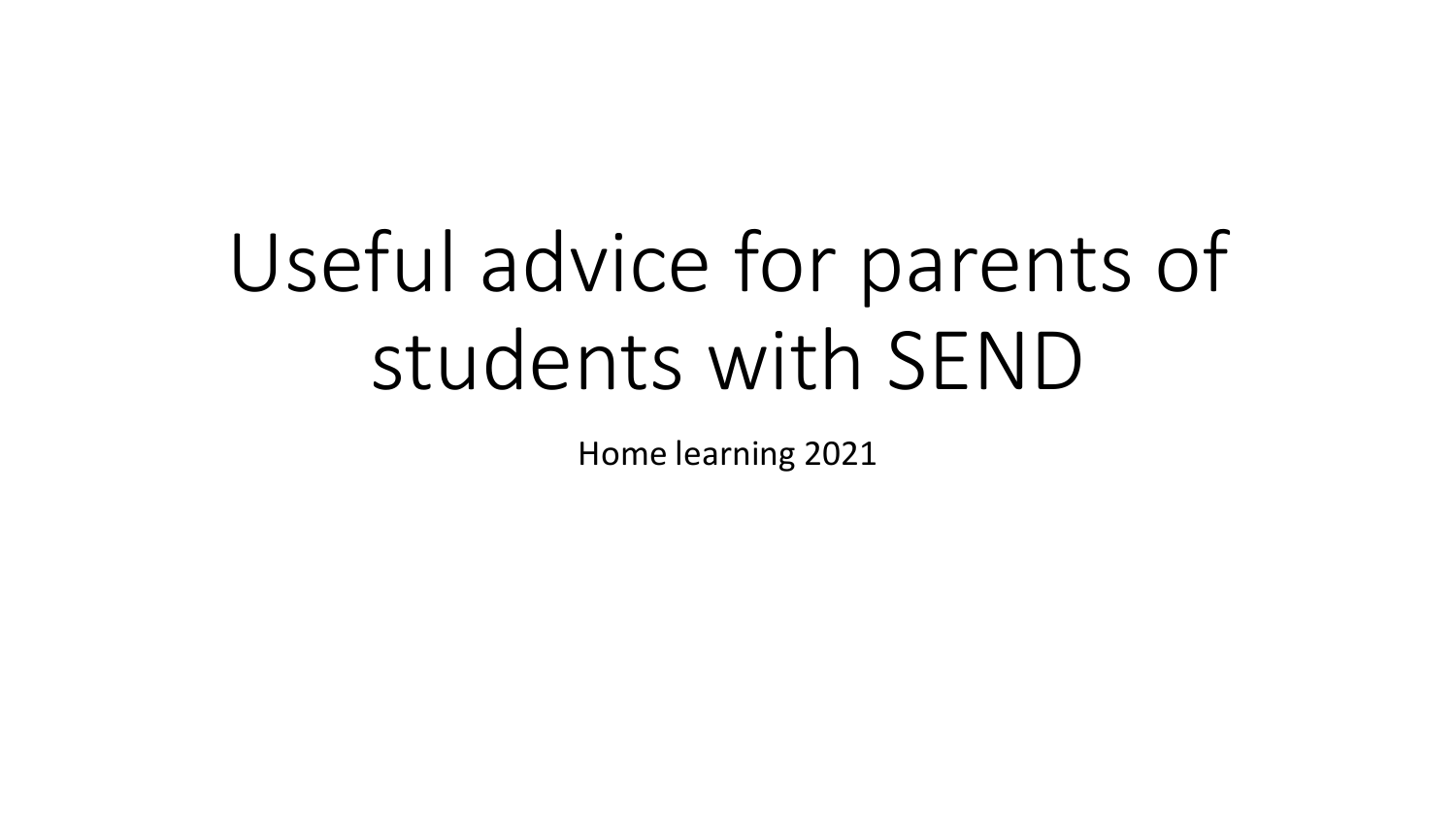# Useful advice for parents of students with SEND

Home learning 2021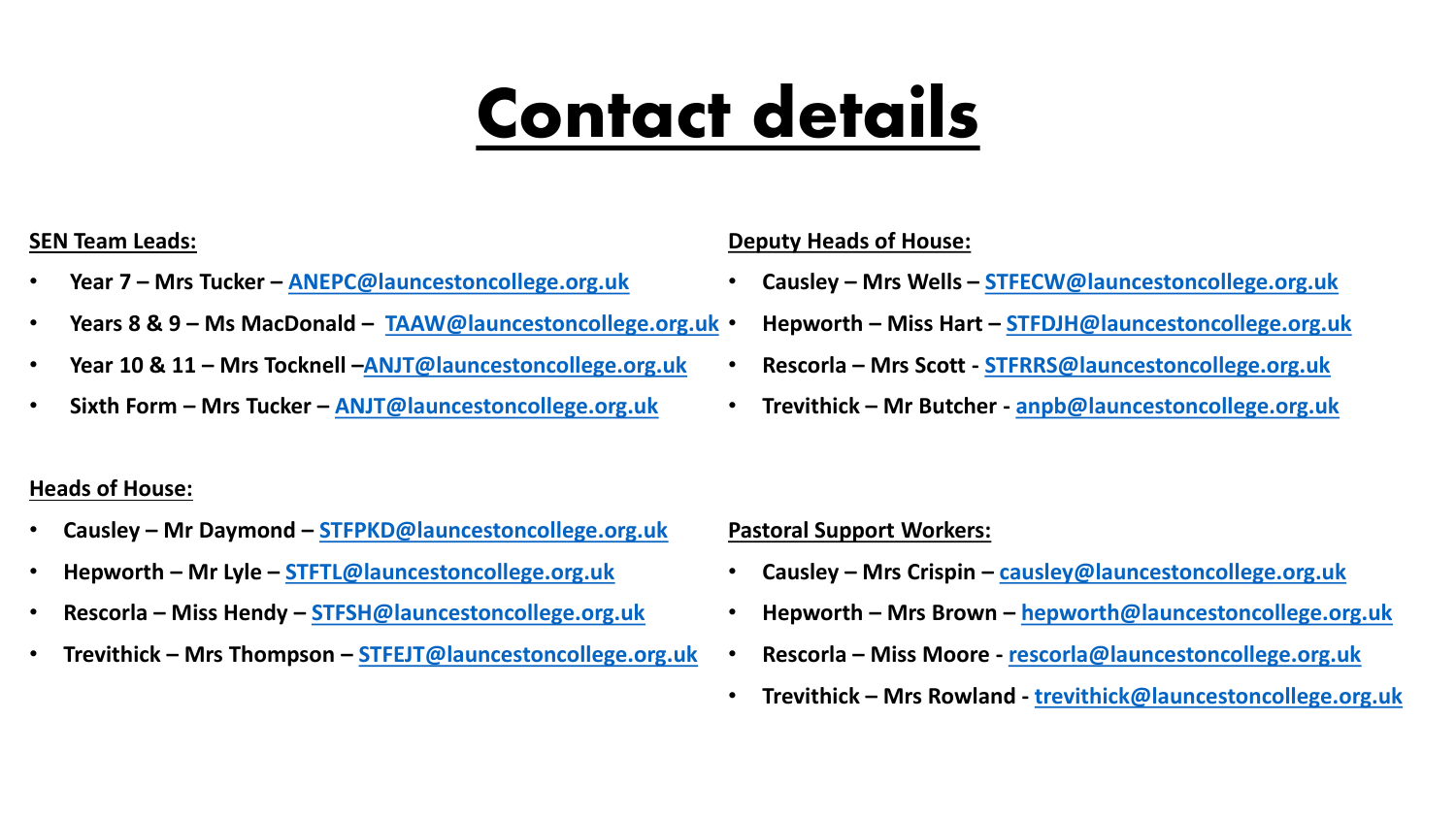## Contact details

#### **SEN Team Leads:**

- **Year 7 – Mrs Tucker – [ANEPC@launcestoncollege.org.uk](mailto:ANEPC@launcestoncollege.org.uk)**
- **Years 8 & 9 – Ms MacDonald – [TAAW@launcestoncollege.org.uk](mailto:TAAW@launcestoncollege.org.uk)**
- **Year 10 & 11 – Mrs Tocknell –[ANJT@launcestoncollege.org.uk](mailto:ANJT@launcestoncollege.org.uk)**
- **Sixth Form – Mrs Tucker – [ANJT@launcestoncollege.org.uk](mailto:ANJT@launcestoncollege.org.uk)**

#### **Deputy Heads of House:**

- **Causley – Mrs Wells – [STFECW@launcestoncollege.org.uk](mailto:STFECW@launcestoncollege.org.uk)**
- **Hepworth – Miss Hart – [STFDJH@launcestoncollege.org.uk](mailto:STFDJH@launcestoncollege.org.uk)**
- **Rescorla – Mrs Scott - [STFRRS@launcestoncollege.org.uk](mailto:STFRRS@launcestoncollege.org.uk)**
- **Trevithick – Mr Butcher - [anpb@launcestoncollege.org.uk](mailto:anpb@launcestoncollege.org.uk)**

#### **Heads of House:**

- **Causley – Mr Daymond – [STFPKD@launcestoncollege.org.uk](mailto:STFPKD@launcestoncollege.org.uk)**
- **Hepworth – Mr Lyle – [STFTL@launcestoncollege.org.uk](mailto:STFTL@launcestoncollege.org.uk)**
- **Rescorla – Miss Hendy – [STFSH@launcestoncollege.org.uk](mailto:STFSH@launcestoncollege.org.uk)**
- **Trevithick – Mrs Thompson – [STFEJT@launcestoncollege.org.uk](mailto:STFEJT@launcestoncollege.org.uk)**

#### **Pastoral Support Workers:**

- **Causley – Mrs Crispin – [causley@launcestoncollege.org.uk](mailto:causley@launcestoncollege.org.uk)**
- **Hepworth – Mrs Brown – [hepworth@launcestoncollege.org.uk](mailto:hepworth@launcestoncollege.org.uk)**
- **Rescorla – Miss Moore - [rescorla@launcestoncollege.org.uk](mailto:rescorla@launcestoncollege.org.uk)**
- **Trevithick – Mrs Rowland - [trevithick@launcestoncollege.org.uk](mailto:trevithick@launcestoncollege.org.uk)**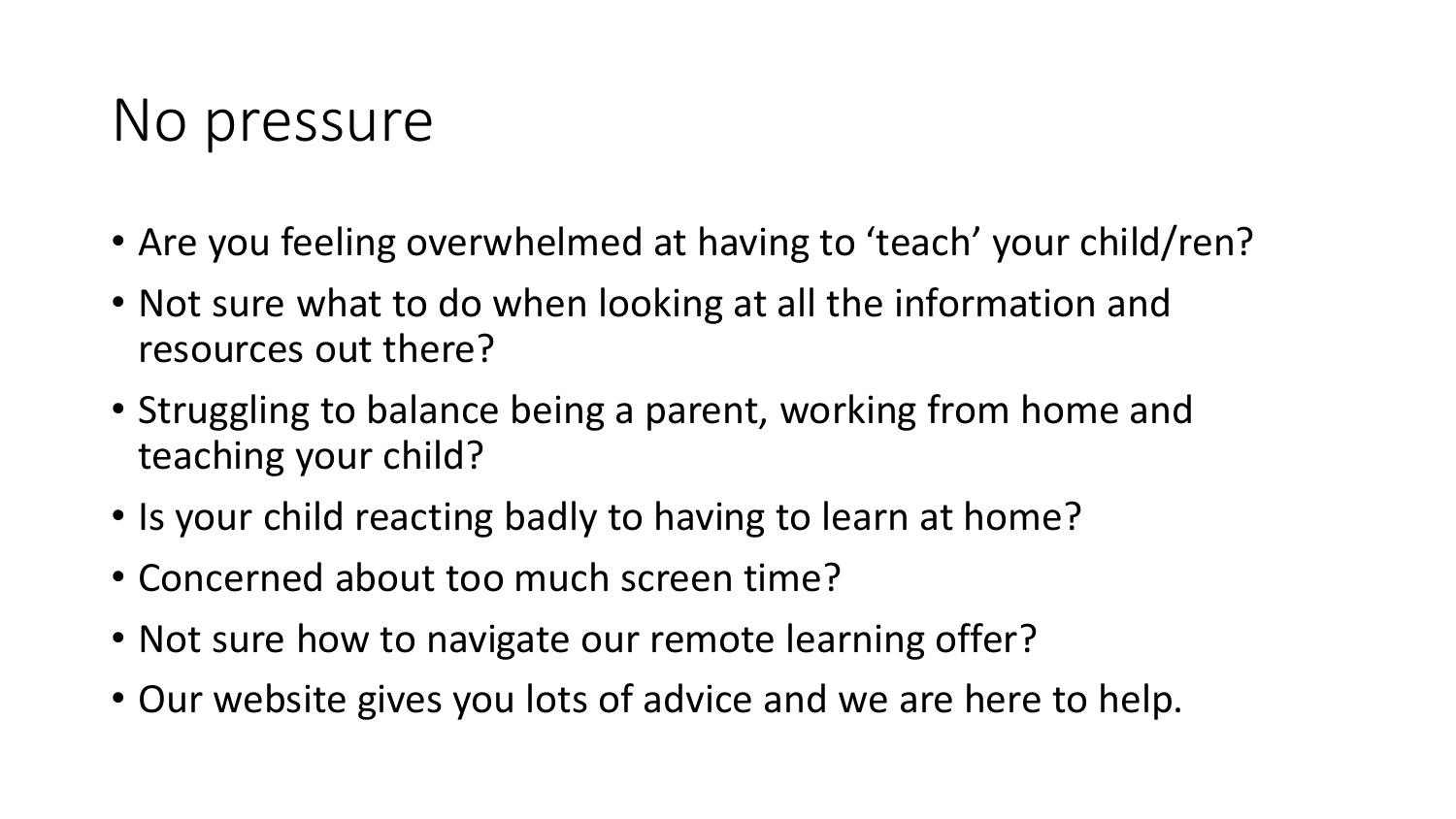### No pressure

- Are you feeling overwhelmed at having to 'teach' your child/ren?
- Not sure what to do when looking at all the information and resources out there?
- Struggling to balance being a parent, working from home and teaching your child?
- Is your child reacting badly to having to learn at home?
- Concerned about too much screen time?
- Not sure how to navigate our remote learning offer?
- Our website gives you lots of advice and we are here to help.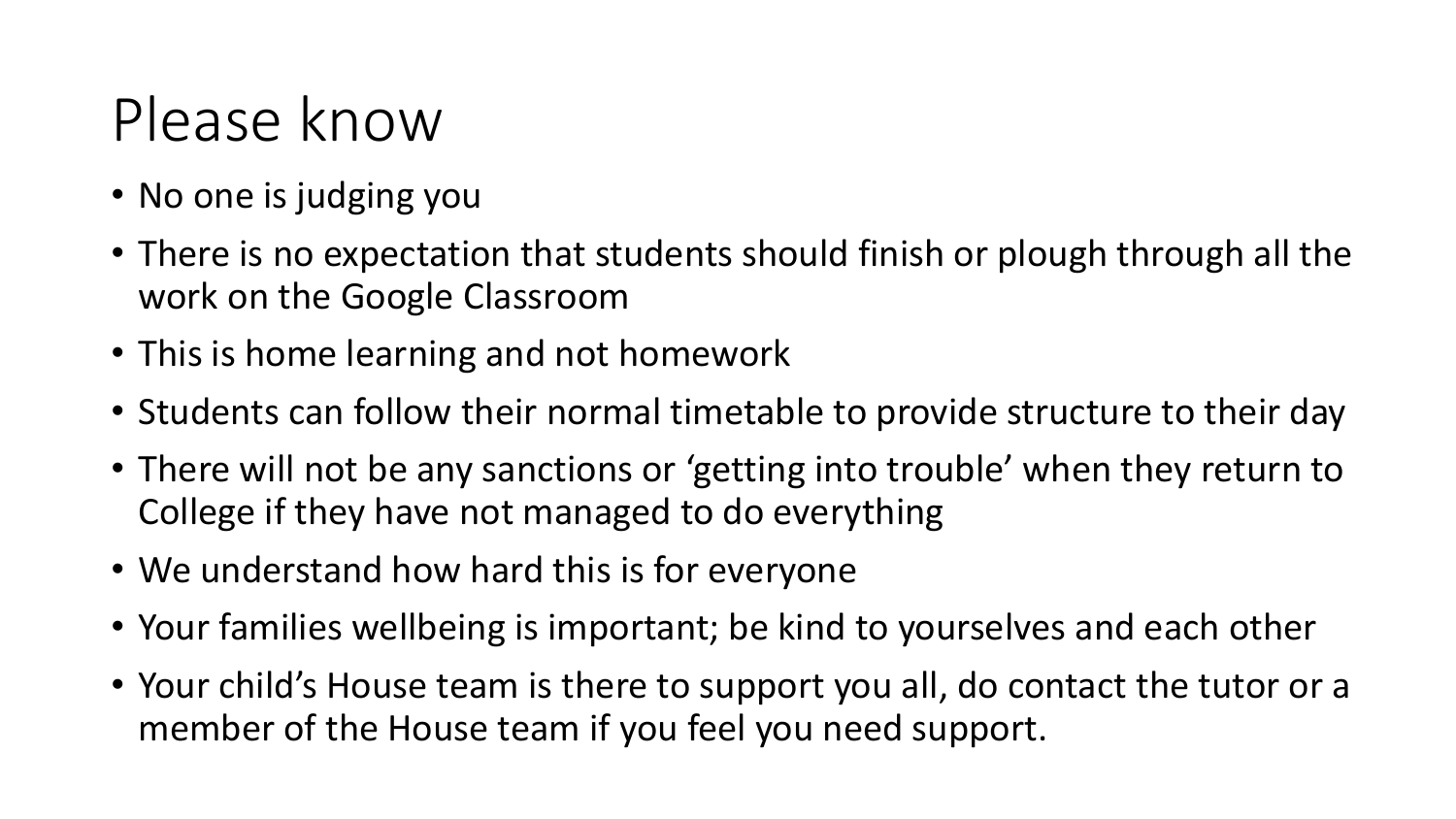### Please know

- No one is judging you
- There is no expectation that students should finish or plough through all the work on the Google Classroom
- This is home learning and not homework
- Students can follow their normal timetable to provide structure to their day
- There will not be any sanctions or 'getting into trouble' when they return to College if they have not managed to do everything
- We understand how hard this is for everyone
- Your families wellbeing is important; be kind to yourselves and each other
- Your child's House team is there to support you all, do contact the tutor or a member of the House team if you feel you need support.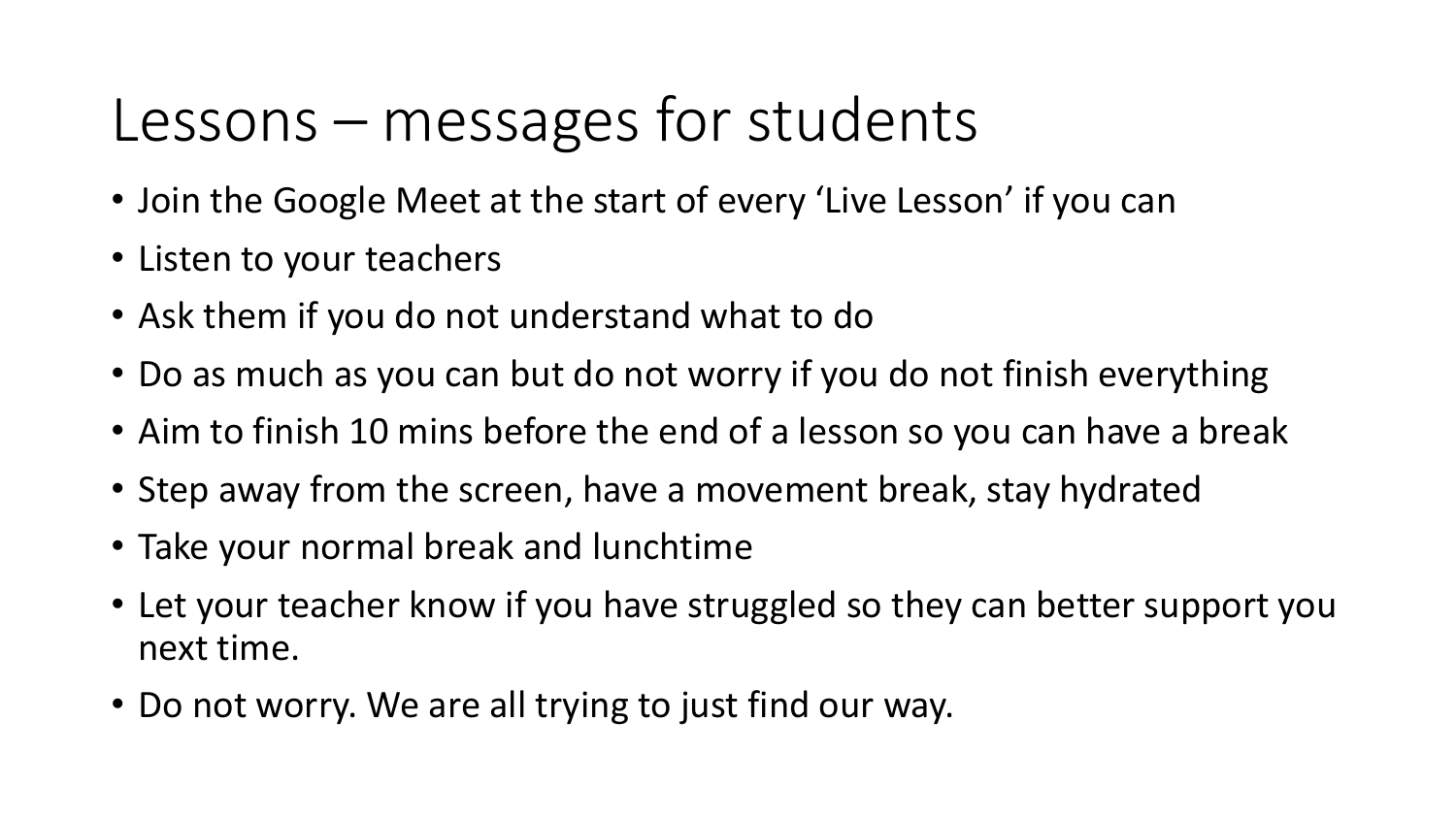### Lessons – messages for students

- Join the Google Meet at the start of every 'Live Lesson' if you can
- Listen to your teachers
- Ask them if you do not understand what to do
- Do as much as you can but do not worry if you do not finish everything
- Aim to finish 10 mins before the end of a lesson so you can have a break
- Step away from the screen, have a movement break, stay hydrated
- Take your normal break and lunchtime
- Let your teacher know if you have struggled so they can better support you next time.
- Do not worry. We are all trying to just find our way.